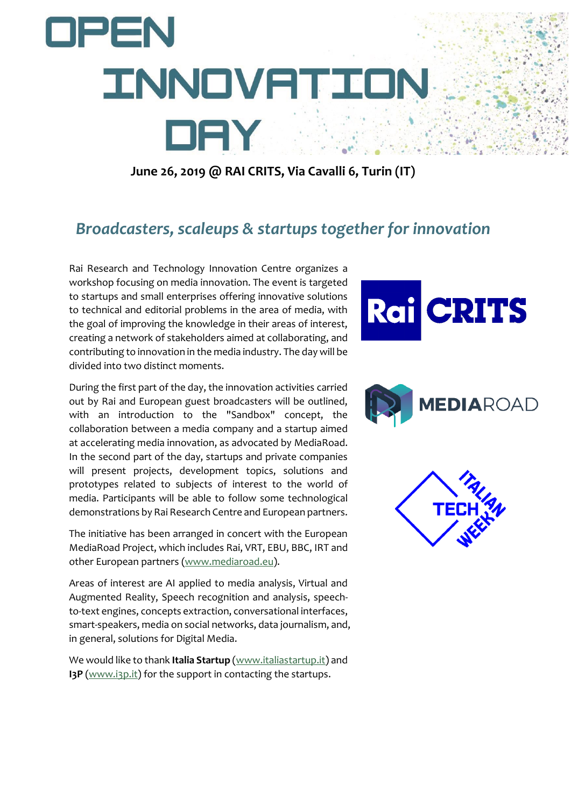

**June 26, 2019 @ RAI CRITS, Via Cavalli 6, Turin (IT)**

## *Broadcasters, scaleups & startups together for innovation*

Rai Research and Technology Innovation Centre organizes a workshop focusing on media innovation. The event is targeted to startups and small enterprises offering innovative solutions to technical and editorial problems in the area of media, with the goal of improving the knowledge in their areas of interest, creating a network of stakeholders aimed at collaborating, and contributing to innovation in the media industry. The day will be divided into two distinct moments.

During the first part of the day, the innovation activities carried out by Rai and European guest broadcasters will be outlined, with an introduction to the "Sandbox" concept, the collaboration between a media company and a startup aimed at accelerating media innovation, as advocated by MediaRoad. In the second part of the day, startups and private companies will present projects, development topics, solutions and prototypes related to subjects of interest to the world of media. Participants will be able to follow some technological demonstrations by Rai Research Centre and European partners.

The initiative has been arranged in concert with the European MediaRoad Project, which includes Rai, VRT, EBU, BBC, IRT and other European partners [\(www.mediaroad.eu\)](http://www.mediaroad.eu/).

Areas of interest are AI applied to media analysis, Virtual and Augmented Reality, Speech recognition and analysis, speechto-text engines, concepts extraction, conversational interfaces, smart-speakers, media on social networks, data journalism, and, in general, solutions for Digital Media.

We would like to thank **Italia Startup** [\(www.italiastartup.it\)](http://www.italiastartup.it/) and **I3P** [\(www.i3p.it\)](http://www.i3p.it/) for the support in contacting the startups.